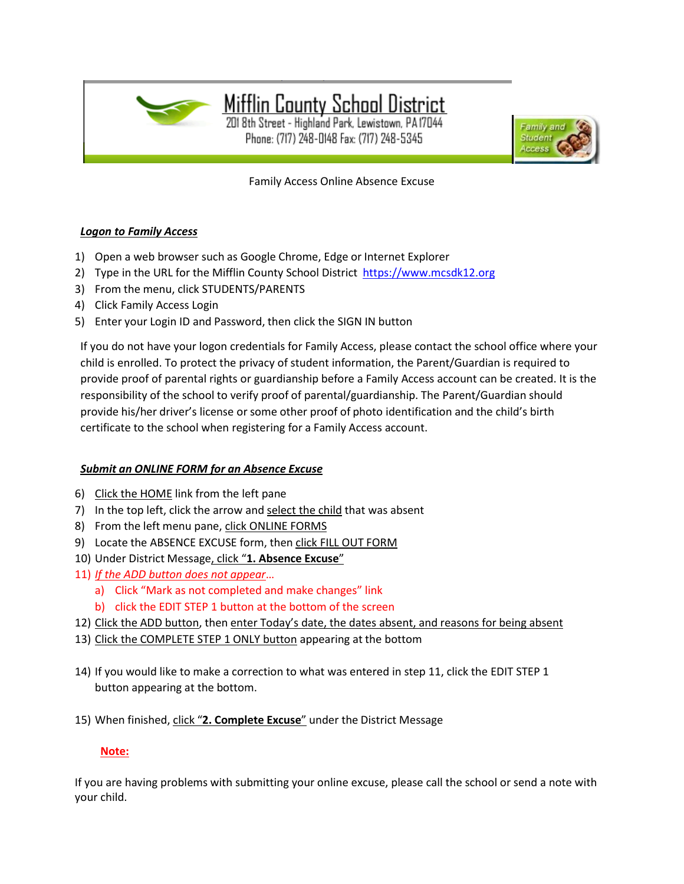

**Mifflin County School District** 

201 8th Street - Highland Park, Lewistown, PA17044 Phone: (717) 248-0148 Fax: (717) 248-5345



Family Access Online Absence Excuse

# *Logon to Family Access*

- 1) Open a web browser such as Google Chrome, Edge or Internet Explorer
- 2) Type in the URL for the Mifflin County School District [https://www.mcsdk12.org](https://www.mcsdk12.org/)
- 3) From the menu, click STUDENTS/PARENTS
- 4) Click Family Access Login
- 5) Enter your Login ID and Password, then click the SIGN IN button

If you do not have your logon credentials for Family Access, please contact the school office where your child is enrolled. To protect the privacy of student information, the Parent/Guardian is required to provide proof of parental rights or guardianship before a Family Access account can be created. It is the responsibility of the school to verify proof of parental/guardianship. The Parent/Guardian should provide his/her driver's license or some other proof of photo identification and the child's birth certificate to the school when registering for a Family Access account.

# *Submit an ONLINE FORM for an Absence Excuse*

- 6) Click the HOME link from the left pane
- 7) In the top left, click the arrow and select the child that was absent
- 8) From the left menu pane, click ONLINE FORMS
- 9) Locate the ABSENCE EXCUSE form, then click FILL OUT FORM
- 10) Under District Message, click "**1. Absence Excuse**"
- 11) *If the ADD button does not appear*…
	- a) Click "Mark as not completed and make changes" link
	- b) click the EDIT STEP 1 button at the bottom of the screen
- 12) Click the ADD button, then enter Today's date, the dates absent, and reasons for being absent
- 13) Click the COMPLETE STEP 1 ONLY button appearing at the bottom
- 14) If you would like to make a correction to what was entered in step 11, click the EDIT STEP 1 button appearing at the bottom.
- 15) When finished, click "**2. Complete Excuse**" under the District Message

## **Note:**

If you are having problems with submitting your online excuse, please call the school or send a note with your child.